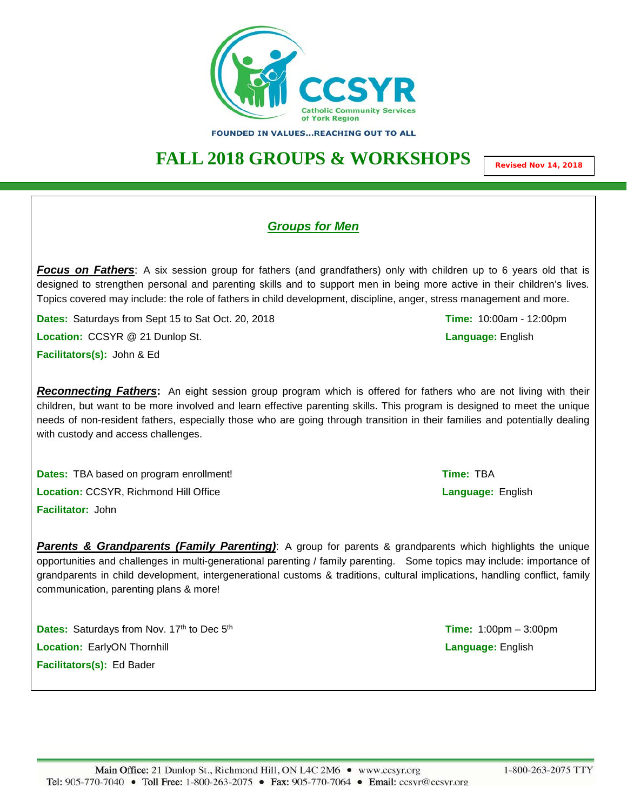

FOUNDED IN VALUES...REACHING OUT TO ALL

## **FALL 2018 GROUPS & WORKSHOPS**

**Revised Nov 14, 2018**

### *Groups for Men*

*Focus on Fathers*: A six session group for fathers (and grandfathers) only with children up to 6 years old that is designed to strengthen personal and parenting skills and to support men in being more active in their children's lives*.* Topics covered may include: the role of fathers in child development, discipline, anger, stress management and more.

**Dates:** Saturdays from Sept 15 to Sat Oct. 20, 2018 **Time:** 10:00am - 12:00pm

**Location:** CCSYR @ 21 Dunlop St. **Language:** English

**Facilitators(s):** John & Ed

*Reconnecting Fathers***:** An eight session group program which is offered for fathers who are not living with their children, but want to be more involved and learn effective parenting skills. This program is designed to meet the unique needs of non-resident fathers, especially those who are going through transition in their families and potentially dealing with custody and access challenges.

**Dates:** TBA based on program enrollment! **Time:** TBA **Location:** CCSYR, Richmond Hill Office **Language:** English **Facilitator:** John

**Parents & Grandparents (Family Parenting):** A group for parents & grandparents which highlights the unique opportunities and challenges in multi-generational parenting / family parenting. Some topics may include: importance of grandparents in child development, intergenerational customs & traditions, cultural implications, handling conflict, family communication, parenting plans & more!

**Dates:** Saturdays from Nov. 17<sup>th</sup> to Dec 5<sup>th</sup> **Transfer 200 and 1:00 and 1:00 and 1:00 pm – 3:00 pm Location:** EarlyON Thornhill **Language:** English **Facilitators(s):** Ed Bader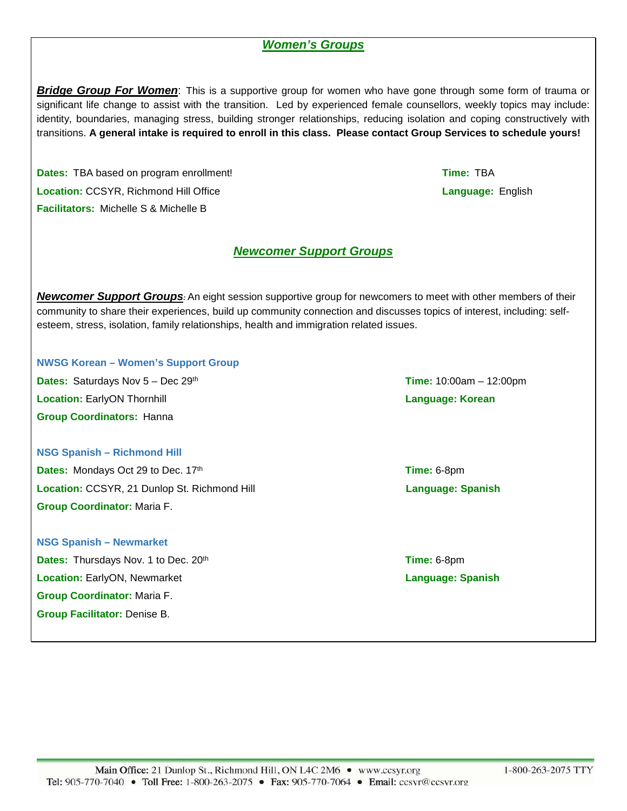### *Women's Groups*

*Bridge Group For Women*: This is a supportive group for women who have gone through some form of trauma or significant life change to assist with the transition. Led by experienced female counsellors, weekly topics may include: identity, boundaries, managing stress, building stronger relationships, reducing isolation and coping constructively with transitions. **A general intake is required to enroll in this class. Please contact Group Services to schedule yours!**

**Dates:** TBA based on program enrollment! **Time:** TBA **Location:** CCSYR, Richmond Hill Office **Language:** English **Facilitators:** Michelle S & Michelle B

# *Newcomer Support Groups*

*Newcomer Support Groups:* An eight session supportive group for newcomers to meet with other members of their community to share their experiences, build up community connection and discusses topics of interest, including: selfesteem, stress, isolation, family relationships, health and immigration related issues.

**NWSG Korean – Women's Support Group Dates:** Saturdays Nov 5 – Dec 29th **Time:** 10:00am – 12:00pm **Location:** EarlyON Thornhill **Language: Korean Group Coordinators:** Hanna

**NSG Spanish – Richmond Hill Dates:** Mondays Oct 29 to Dec. 17<sup>th</sup> **Time:** 6-8pm **Location:** CCSYR, 21 Dunlop St. Richmond Hill **Language: Spanish Language: Spanish Group Coordinator:** Maria F.

**NSG Spanish – Newmarket Dates:** Thursdays Nov. 1 to Dec. 20<sup>th</sup> **Time:** 6-8pm **Location:** EarlyON, Newmarket **Language: Spanish Language: Spanish Group Coordinator:** Maria F. **Group Facilitator:** Denise B.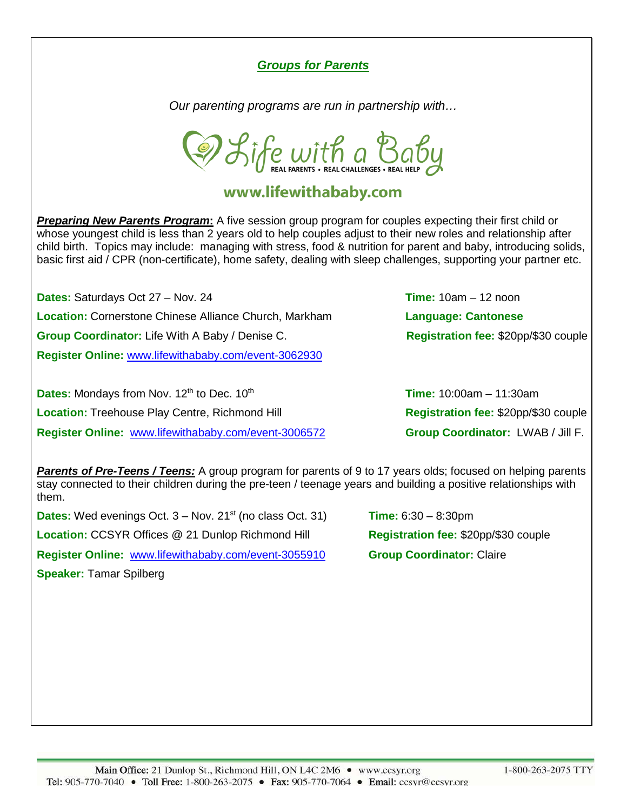### *Groups for Parents*

*Our parenting programs are run in partnership with…*

D Life with a Baby

### www.lifewithababy.com

*Preparing New Parents Program***:** A five session group program for couples expecting their first child or whose youngest child is less than 2 years old to help couples adjust to their new roles and relationship after child birth. Topics may include: managing with stress, food & nutrition for parent and baby, introducing solids, basic first aid / CPR (non-certificate), home safety, dealing with sleep challenges, supporting your partner etc.

**Dates:** Saturdays Oct 27 – Nov. 24 **Time:** 10am – 12 noon **Location:** Cornerstone Chinese Alliance Church, Markham **Language: Cantonese Group Coordinator:** Life With A Baby / Denise C. **Registration fee: \$20pp/\$30 couple Register Online:** [www.lifewithababy.com/event-3062930](http://www.lifewithababy.com/event-3062930)

**Dates:** Mondays from Nov. 12<sup>th</sup> to Dec. 10<sup>th</sup> **Transfer Contract 10:00am – 11:30am Location:** Treehouse Play Centre, Richmond Hill **Registration fee:** \$20pp/\$30 couple **Register Online:** [www.lifewithababy.com/event-3006572](http://www.lifewithababy.com/event-3006572) **Group Coordinator:** LWAB / Jill F.

*Parents of Pre-Teens / Teens:* A group program for parents of 9 to 17 years olds; focused on helping parents stay connected to their children during the pre-teen / teenage years and building a positive relationships with them.

**Dates:** Wed evenings Oct.  $3 -$  Nov.  $21^{st}$  (no class Oct. 31) **Time:**  $6:30 - 8:30$ pm **Location: CCSYR Offices @ 21 Dunlop Richmond Hill <b>Registration fee: \$20pp/\$30 couple Register Online:** [www.lifewithababy.com/event-3055910](http://www.lifewithababy.com/event-3055910) **Group Coordinator:** Claire **Speaker:** Tamar Spilberg